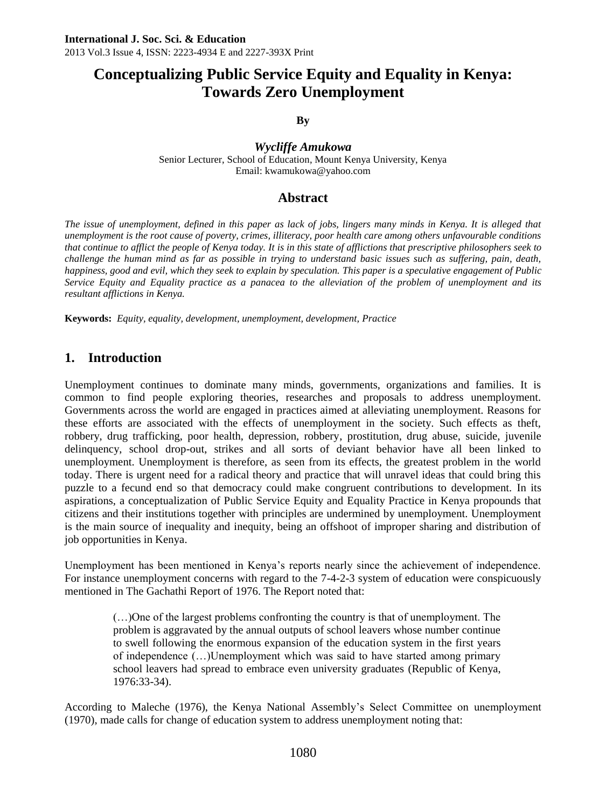# **Conceptualizing Public Service Equity and Equality in Kenya: Towards Zero Unemployment**

**By**

*Wycliffe Amukowa* Senior Lecturer, School of Education, Mount Kenya University, Kenya

Email: [kwamukowa@yahoo.com](mailto:kwamukowa@yahoo.com)

# **Abstract**

*The issue of unemployment, defined in this paper as lack of jobs, lingers many minds in Kenya. It is alleged that unemployment is the root cause of poverty, crimes, illiteracy, poor health care among others unfavourable conditions that continue to afflict the people of Kenya today. It is in this state of afflictions that prescriptive philosophers seek to challenge the human mind as far as possible in trying to understand basic issues such as suffering, pain, death, happiness, good and evil, which they seek to explain by speculation. This paper is a speculative engagement of Public Service Equity and Equality practice as a panacea to the alleviation of the problem of unemployment and its resultant afflictions in Kenya.*

**Keywords:** *Equity, equality, development, unemployment, development, Practice*

# **1. Introduction**

Unemployment continues to dominate many minds, governments, organizations and families. It is common to find people exploring theories, researches and proposals to address unemployment. Governments across the world are engaged in practices aimed at alleviating unemployment. Reasons for these efforts are associated with the effects of unemployment in the society. Such effects as theft, robbery, drug trafficking, poor health, depression, robbery, prostitution, drug abuse, suicide, juvenile delinquency, school drop-out, strikes and all sorts of deviant behavior have all been linked to unemployment. Unemployment is therefore, as seen from its effects, the greatest problem in the world today. There is urgent need for a radical theory and practice that will unravel ideas that could bring this puzzle to a fecund end so that democracy could make congruent contributions to development. In its aspirations, a conceptualization of Public Service Equity and Equality Practice in Kenya propounds that citizens and their institutions together with principles are undermined by unemployment. Unemployment is the main source of inequality and inequity, being an offshoot of improper sharing and distribution of job opportunities in Kenya.

Unemployment has been mentioned in Kenya's reports nearly since the achievement of independence. For instance unemployment concerns with regard to the 7-4-2-3 system of education were conspicuously mentioned in The Gachathi Report of 1976. The Report noted that:

(…)One of the largest problems confronting the country is that of unemployment. The problem is aggravated by the annual outputs of school leavers whose number continue to swell following the enormous expansion of the education system in the first years of independence (…)Unemployment which was said to have started among primary school leavers had spread to embrace even university graduates (Republic of Kenya, 1976:33-34).

According to Maleche (1976), the Kenya National Assembly's Select Committee on unemployment (1970), made calls for change of education system to address unemployment noting that: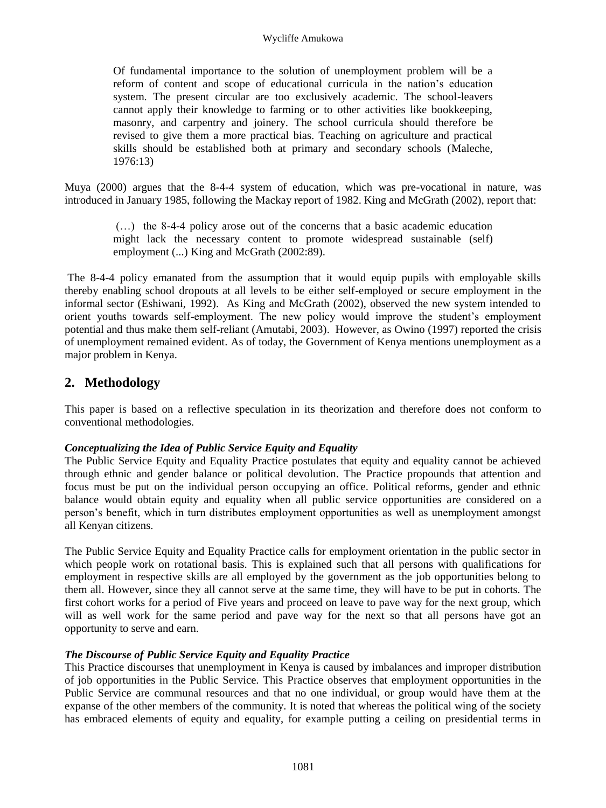Of fundamental importance to the solution of unemployment problem will be a reform of content and scope of educational curricula in the nation's education system. The present circular are too exclusively academic. The school-leavers cannot apply their knowledge to farming or to other activities like bookkeeping, masonry, and carpentry and joinery. The school curricula should therefore be revised to give them a more practical bias. Teaching on agriculture and practical skills should be established both at primary and secondary schools (Maleche, 1976:13)

Muya (2000) argues that the 8-4-4 system of education, which was pre-vocational in nature, was introduced in January 1985, following the Mackay report of 1982. King and McGrath (2002), report that:

> (…) the 8-4-4 policy arose out of the concerns that a basic academic education might lack the necessary content to promote widespread sustainable (self) employment (...) King and McGrath (2002:89).

The 8-4-4 policy emanated from the assumption that it would equip pupils with employable skills thereby enabling school dropouts at all levels to be either self-employed or secure employment in the informal sector (Eshiwani, 1992). As King and McGrath (2002), observed the new system intended to orient youths towards self-employment. The new policy would improve the student's employment potential and thus make them self-reliant (Amutabi, 2003). However, as Owino (1997) reported the crisis of unemployment remained evident. As of today, the Government of Kenya mentions unemployment as a major problem in Kenya.

# **2. Methodology**

This paper is based on a reflective speculation in its theorization and therefore does not conform to conventional methodologies.

#### *Conceptualizing the Idea of Public Service Equity and Equality*

The Public Service Equity and Equality Practice postulates that equity and equality cannot be achieved through ethnic and gender balance or political devolution. The Practice propounds that attention and focus must be put on the individual person occupying an office. Political reforms, gender and ethnic balance would obtain equity and equality when all public service opportunities are considered on a person's benefit, which in turn distributes employment opportunities as well as unemployment amongst all Kenyan citizens.

The Public Service Equity and Equality Practice calls for employment orientation in the public sector in which people work on rotational basis. This is explained such that all persons with qualifications for employment in respective skills are all employed by the government as the job opportunities belong to them all. However, since they all cannot serve at the same time, they will have to be put in cohorts. The first cohort works for a period of Five years and proceed on leave to pave way for the next group, which will as well work for the same period and pave way for the next so that all persons have got an opportunity to serve and earn.

### *The Discourse of Public Service Equity and Equality Practice*

This Practice discourses that unemployment in Kenya is caused by imbalances and improper distribution of job opportunities in the Public Service. This Practice observes that employment opportunities in the Public Service are communal resources and that no one individual, or group would have them at the expanse of the other members of the community. It is noted that whereas the political wing of the society has embraced elements of equity and equality, for example putting a ceiling on presidential terms in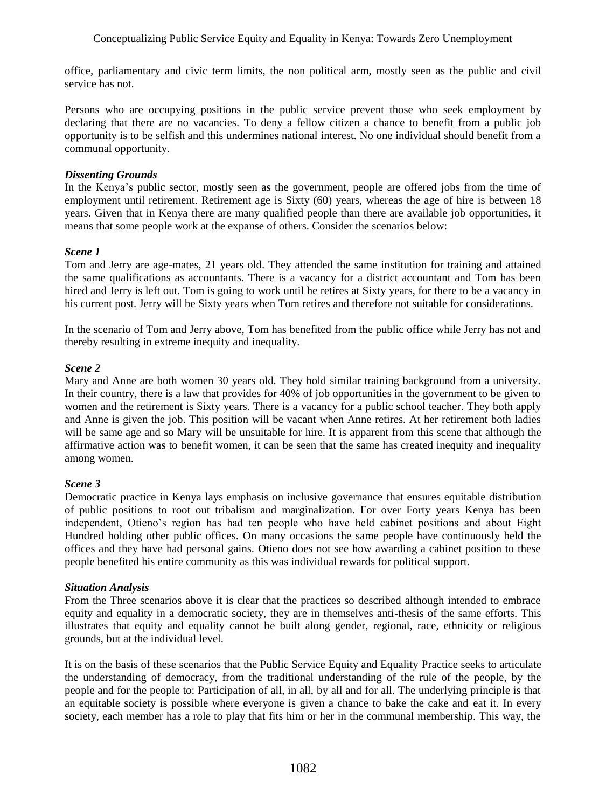office, parliamentary and civic term limits, the non political arm, mostly seen as the public and civil service has not.

Persons who are occupying positions in the public service prevent those who seek employment by declaring that there are no vacancies. To deny a fellow citizen a chance to benefit from a public job opportunity is to be selfish and this undermines national interest. No one individual should benefit from a communal opportunity.

#### *Dissenting Grounds*

In the Kenya's public sector, mostly seen as the government, people are offered jobs from the time of employment until retirement. Retirement age is Sixty (60) years, whereas the age of hire is between 18 years. Given that in Kenya there are many qualified people than there are available job opportunities, it means that some people work at the expanse of others. Consider the scenarios below:

#### *Scene 1*

Tom and Jerry are age-mates, 21 years old. They attended the same institution for training and attained the same qualifications as accountants. There is a vacancy for a district accountant and Tom has been hired and Jerry is left out. Tom is going to work until he retires at Sixty years, for there to be a vacancy in his current post. Jerry will be Sixty years when Tom retires and therefore not suitable for considerations.

In the scenario of Tom and Jerry above, Tom has benefited from the public office while Jerry has not and thereby resulting in extreme inequity and inequality.

#### *Scene 2*

Mary and Anne are both women 30 years old. They hold similar training background from a university. In their country, there is a law that provides for 40% of job opportunities in the government to be given to women and the retirement is Sixty years. There is a vacancy for a public school teacher. They both apply and Anne is given the job. This position will be vacant when Anne retires. At her retirement both ladies will be same age and so Mary will be unsuitable for hire. It is apparent from this scene that although the affirmative action was to benefit women, it can be seen that the same has created inequity and inequality among women.

#### *Scene 3*

Democratic practice in Kenya lays emphasis on inclusive governance that ensures equitable distribution of public positions to root out tribalism and marginalization. For over Forty years Kenya has been independent, Otieno's region has had ten people who have held cabinet positions and about Eight Hundred holding other public offices. On many occasions the same people have continuously held the offices and they have had personal gains. Otieno does not see how awarding a cabinet position to these people benefited his entire community as this was individual rewards for political support.

#### *Situation Analysis*

From the Three scenarios above it is clear that the practices so described although intended to embrace equity and equality in a democratic society, they are in themselves anti-thesis of the same efforts. This illustrates that equity and equality cannot be built along gender, regional, race, ethnicity or religious grounds, but at the individual level.

It is on the basis of these scenarios that the Public Service Equity and Equality Practice seeks to articulate the understanding of democracy, from the traditional understanding of the rule of the people, by the people and for the people to: Participation of all, in all, by all and for all. The underlying principle is that an equitable society is possible where everyone is given a chance to bake the cake and eat it. In every society, each member has a role to play that fits him or her in the communal membership. This way, the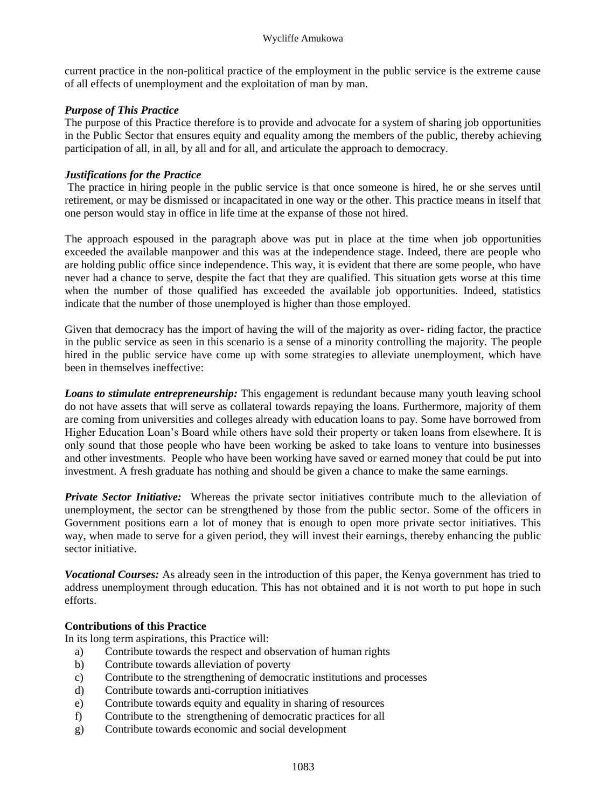current practice in the non-political practice of the employment in the public service is the extreme cause of all effects of unemployment and the exploitation of man by man.

#### *Purpose of This Practice*

The purpose of this Practice therefore is to provide and advocate for a system of sharing job opportunities in the Public Sector that ensures equity and equality among the members of the public, thereby achieving participation of all, in all, by all and for all, and articulate the approach to democracy.

#### *Justifications for the Practice*

The practice in hiring people in the public service is that once someone is hired, he or she serves until retirement, or may be dismissed or incapacitated in one way or the other. This practice means in itself that one person would stay in office in life time at the expanse of those not hired.

The approach espoused in the paragraph above was put in place at the time when job opportunities exceeded the available manpower and this was at the independence stage. Indeed, there are people who are holding public office since independence. This way, it is evident that there are some people, who have never had a chance to serve, despite the fact that they are qualified. This situation gets worse at this time when the number of those qualified has exceeded the available job opportunities. Indeed, statistics indicate that the number of those unemployed is higher than those employed.

Given that democracy has the import of having the will of the majority as over- riding factor, the practice in the public service as seen in this scenario is a sense of a minority controlling the majority. The people hired in the public service have come up with some strategies to alleviate unemployment, which have been in themselves ineffective:

*Loans to stimulate entrepreneurship:* This engagement is redundant because many youth leaving school do not have assets that will serve as collateral towards repaying the loans. Furthermore, majority of them are coming from universities and colleges already with education loans to pay. Some have borrowed from Higher Education Loan's Board while others have sold their property or taken loans from elsewhere. It is only sound that those people who have been working be asked to take loans to venture into businesses and other investments. People who have been working have saved or earned money that could be put into investment. A fresh graduate has nothing and should be given a chance to make the same earnings.

*Private Sector Initiative:* Whereas the private sector initiatives contribute much to the alleviation of unemployment, the sector can be strengthened by those from the public sector. Some of the officers in Government positions earn a lot of money that is enough to open more private sector initiatives. This way, when made to serve for a given period, they will invest their earnings, thereby enhancing the public sector initiative.

*Vocational Courses:* As already seen in the introduction of this paper, the Kenya government has tried to address unemployment through education. This has not obtained and it is not worth to put hope in such efforts.

#### **Contributions of this Practice**

In its long term aspirations, this Practice will:

- a) Contribute towards the respect and observation of human rights
- b) Contribute towards alleviation of poverty
- c) Contribute to the strengthening of democratic institutions and processes
- d) Contribute towards anti-corruption initiatives
- e) Contribute towards equity and equality in sharing of resources
- f) Contribute to the strengthening of democratic practices for all
- g) Contribute towards economic and social development